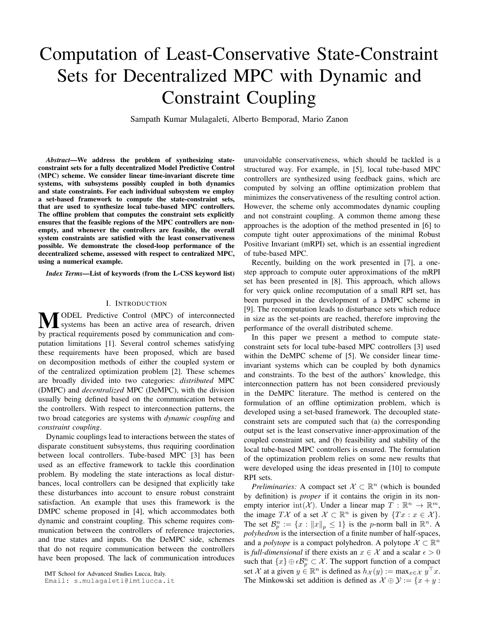# Computation of Least-Conservative State-Constraint Sets for Decentralized MPC with Dynamic and Constraint Coupling

Sampath Kumar Mulagaleti, Alberto Bemporad, Mario Zanon

*Abstract*—We address the problem of synthesizing stateconstraint sets for a fully decentralized Model Predictive Control (MPC) scheme. We consider linear time-invariant discrete time systems, with subsystems possibly coupled in both dynamics and state constraints. For each individual subsystem we employ a set-based framework to compute the state-constraint sets, that are used to synthesize local tube-based MPC controllers. The offline problem that computes the constraint sets explicitly ensures that the feasible regions of the MPC controllers are nonempty, and whenever the controllers are feasible, the overall system constraints are satisfied with the least conservativeness possible. We demonstrate the closed-loop performance of the decentralized scheme, assessed with respect to centralized MPC, using a numerical example.

*Index Terms*—List of keywords (from the L-CSS keyword list)

#### I. INTRODUCTION

**M** ODEL Predictive Control (MPC) of interconnected<br>systems has been an active area of research, driven<br>by an active area by an accommunication and active by practical requirements posed by communication and computation limitations [1]. Several control schemes satisfying these requirements have been proposed, which are based on decomposition methods of either the coupled system or of the centralized optimization problem [2]. These schemes are broadly divided into two categories: *distributed* MPC (DMPC) and *decentralized* MPC (DeMPC), with the division usually being defined based on the communication between the controllers. With respect to interconnection patterns, the two broad categories are systems with *dynamic coupling* and *constraint coupling*.

Dynamic couplings lead to interactions between the states of disparate constituent subsystems, thus requiring coordination between local controllers. Tube-based MPC [3] has been used as an effective framework to tackle this coordination problem. By modeling the state interactions as local disturbances, local controllers can be designed that explicitly take these disturbances into account to ensure robust constraint satisfaction. An example that uses this framework is the DMPC scheme proposed in [4], which accommodates both dynamic and constraint coupling. This scheme requires communication between the controllers of reference trajectories, and true states and inputs. On the DeMPC side, schemes that do not require communication between the controllers have been proposed. The lack of communication introduces

IMT School for Advanced Studies Lucca, Italy.

Email: s.mulagaleti@imtlucca.it

unavoidable conservativeness, which should be tackled is a structured way. For example, in [5], local tube-based MPC controllers are synthesized using feedback gains, which are computed by solving an offline optimization problem that minimizes the conservativeness of the resulting control action. However, the scheme only accommodates dynamic coupling and not constraint coupling. A common theme among these approaches is the adoption of the method presented in [6] to compute tight outer approximations of the minimal Robust Positive Invariant (mRPI) set, which is an essential ingredient of tube-based MPC.

Recently, building on the work presented in [7], a onestep approach to compute outer approximations of the mRPI set has been presented in [8]. This approach, which allows for very quick online recomputation of a small RPI set, has been purposed in the development of a DMPC scheme in [9]. The recomputation leads to disturbance sets which reduce in size as the set-points are reached, therefore improving the performance of the overall distributed scheme.

In this paper we present a method to compute stateconstraint sets for local tube-based MPC controllers [3] used within the DeMPC scheme of [5]. We consider linear timeinvariant systems which can be coupled by both dynamics and constraints. To the best of the authors' knowledge, this interconnection pattern has not been considered previously in the DeMPC literature. The method is centered on the formulation of an offline optimization problem, which is developed using a set-based framework. The decoupled stateconstraint sets are computed such that (a) the corresponding output set is the least conservative inner-approximation of the coupled constraint set, and (b) feasibility and stability of the local tube-based MPC controllers is ensured. The formulation of the optimization problem relies on some new results that were developed using the ideas presented in [10] to compute RPI sets.

*Preliminaries:* A compact set  $X \subset \mathbb{R}^n$  (which is bounded by definition) is *proper* if it contains the origin in its nonempty interior  $\text{int}(\mathcal{X})$ . Under a linear map  $T : \mathbb{R}^n \to \mathbb{R}^m$ , the image  $T\mathcal{X}$  of a set  $\mathcal{X} \subset \mathbb{R}^n$  is given by  $\{Tx : x \in \mathcal{X}\}.$ The set  $\mathcal{B}_p^n := \{x : ||x||_p \leq 1\}$  is the p-norm ball in  $\mathbb{R}^n$ . A *polyhedron* is the intersection of a finite number of half-spaces, and a *polytope* is a compact polyhedron. A polytope  $X \subset \mathbb{R}^n$ is *full-dimensional* if there exists an  $x \in \mathcal{X}$  and a scalar  $\epsilon > 0$ such that  $\{x\} \oplus \epsilon \mathcal{B}_{p}^{n} \subset \mathcal{X}$ . The support function of a compact set X at a given  $y \in \mathbb{R}^n$  is defined as  $h_{\mathcal{X}}(y) := \max_{x \in \mathcal{X}} y^\top x$ . The Minkowski set addition is defined as  $\mathcal{X} \oplus \mathcal{Y} := \{x + y :$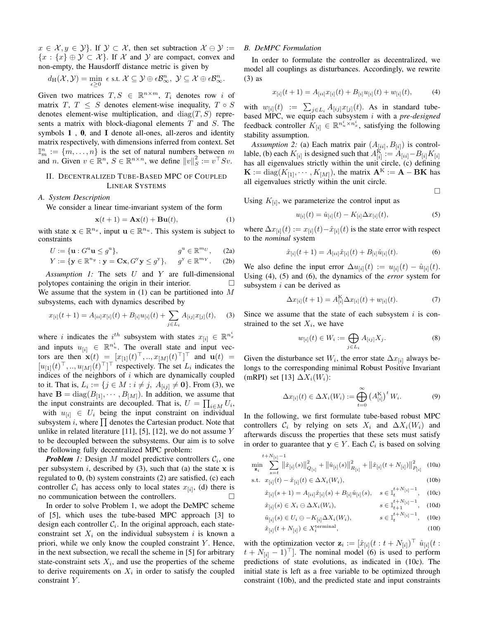$x \in \mathcal{X}, y \in \mathcal{Y}$ . If  $\mathcal{Y} \subset \mathcal{X}$ , then set subtraction  $\mathcal{X} \ominus \mathcal{Y} :=$  ${x : {x} \oplus y \subset \mathcal{X}}$ . If X and Y are compact, convex and non-empty, the Hausdorff distance metric is given by

$$
d_{\mathrm{H}}(\mathcal{X},\mathcal{Y})=\min_{\epsilon\geq 0} \epsilon \text{ s.t. } \mathcal{X}\subseteq \mathcal{Y}\oplus \epsilon\mathcal{B}_{\infty}^n, \ \mathcal{Y}\subseteq \mathcal{X}\oplus \epsilon\mathcal{B}_{\infty}^n.
$$

Given two matrices  $T, S \in \mathbb{R}^{n \times m}$ ,  $T_i$  denotes row i of matrix  $T, T \leq S$  denotes element-wise inequality,  $T \circ S$ denotes element-wise multiplication, and  $diag(T, S)$  represents a matrix with block-diagonal elements  $T$  and  $S$ . The symbols  $1$ ,  $0$ , and  $I$  denote all-ones, all-zeros and identity matrix respectively, with dimensions inferred from context. Set  $\mathbb{I}_m^n := \{m, \ldots, n\}$  is the set of natural numbers between m and *n*. Given  $v \in \mathbb{R}^n$ ,  $S \in \mathbb{R}^{n \times n}$ , we define  $||v||_S^2 := v^\top S v$ .

## II. DECENTRALIZED TUBE-BASED MPC OF COUPLED LINEAR SYSTEMS

### *A. System Description*

We consider a linear time-invariant system of the form

$$
\mathbf{x}(t+1) = \mathbf{A}\mathbf{x}(t) + \mathbf{B}\mathbf{u}(t),\tag{1}
$$

with state  $\mathbf{x} \in \mathbb{R}^{n_x}$ , input  $\mathbf{u} \in \mathbb{R}^{n_u}$ . This system is subject to constraints

$$
U := \{ \mathbf{u} : G^{\mathrm{u}} \mathbf{u} \le g^{\mathrm{u}} \}, \qquad g^{\mathrm{u}} \in \mathbb{R}^{m_U}, \qquad \text{(2a)}
$$
  

$$
Y := \{ \mathbf{y} \in \mathbb{R}^{n_y} : \mathbf{y} = \mathbf{C}\mathbf{x}, G^{\mathrm{y}} \mathbf{y} \le g^{\mathrm{y}} \}, \qquad g^{\mathrm{y}} \in \mathbb{R}^{m_Y}. \qquad \text{(2b)}
$$

*Assumption 1:* The sets U and Y are full-dimensional polytopes containing the origin in their interior. We assume that the system in  $(1)$  can be partitioned into M subsystems, each with dynamics described by

$$
x_{[i]}(t+1) = A_{[ii]}x_{[i]}(t) + B_{[i]}u_{[i]}(t) + \sum_{j \in L_i} A_{[ij]}x_{[j]}(t), \quad (3)
$$

where *i* indicates the *i*<sup>th</sup> subsystem with states  $x_{[i]} \in \mathbb{R}^{n_x^i}$ and inputs  $u_{[i]} \in \mathbb{R}^{n_u^i}$ . The overall state and input vectors are then  $\mathbf{x}(t) = [x_{[1]}(t)^\top, ..., x_{[M]}(t)^\top]^\top$  and  $\mathbf{u}(t) =$  $[u_{[1]}(t)^\top, \ldots, u_{[M]}(t)^\top]^\top$  respectively. The set  $L_i$  indicates the indices of the neighbors of  $i$  which are dynamically coupled to it. That is,  $L_i := \{ j \in M : i \neq j, \ A_{[ij]} \neq \mathbf{0} \}$ . From (3), we have  $\mathbf{B} = \text{diag}(B_{[1]}, \dots, B_{[M]})$ . In addition, we assume that the input constraints are decoupled. That is,  $U = \prod_{i \in M} U_i$ , with  $u_{[i]} \in U_i$  being the input constraint on individual subsystem i, where  $\prod$  denotes the Cartesian product. Note that unlike in related literature [11], [5], [12], we do not assume  $Y$ to be decoupled between the subsystems. Our aim is to solve the following fully decentralized MPC problem:

*Problem* 1: Design M model predictive controllers  $C_i$ , one per subsystem i, described by  $(3)$ , such that  $(a)$  the state x is regulated to 0, (b) system constraints (2) are satisfied, (c) each controller  $\mathcal{C}_i$  has access only to local states  $x_{[i]}$ , (d) there is no communication between the controllers.

In order to solve Problem 1, we adopt the DeMPC scheme of [5], which uses the tube-based MPC approach [3] to design each controller  $C_i$ . In the original approach, each stateconstraint set  $X_i$  on the individual subsystem i is known a priori, while we only know the coupled constraint  $Y$ . Hence, in the next subsection, we recall the scheme in [5] for arbitrary state-constraint sets  $X_i$ , and use the properties of the scheme to derive requirements on  $X_i$  in order to satisfy the coupled constraint Y.

## *B. DeMPC Formulation*

In order to formulate the controller as decentralized, we model all couplings as disturbances. Accordingly, we rewrite (3) as

$$
x_{[i]}(t+1) = A_{[ii]}x_{[i]}(t) + B_{[i]}u_{[i]}(t) + w_{[i]}(t),
$$
 (4)

with  $w_{[i]}(t) := \sum_{j \in L_i} A_{[ij]} x_{[j]}(t)$ . As in standard tubebased MPC, we equip each subsystem i with a *pre-designed* feedback controller  $K_{[i]} \in \mathbb{R}^{n_u^i \times n_x^i}$ , satisfying the following stability assumption.

*Assumption 2:* (a) Each matrix pair  $(A_{[ii]}, B_{[i]})$  is controllable, (b) each  $K_{[i]}$  is designed such that  $A_{[i]}^{\dot{K}} := \dot{A}_{[ii]} - B_{[i]} K_{[i]}$ has all eigenvalues strictly within the unit circle, (c) defining  $\mathbf{K} := \text{diag}(K_{[1]}, \cdots, K_{[M]}),$  the matrix  $\mathbf{A}^K := \mathbf{A} - \mathbf{B}\mathbf{K}$  has all eigenvalues strictly within the unit circle.

Using  $K_{[i]}$ , we parameterize the control input as

$$
u_{[i]}(t) = \hat{u}_{[i]}(t) - K_{[i]} \Delta x_{[i]}(t),
$$
\n(5)

 $\Box$ 

where  $\Delta x_{[i]}(t) := x_{[i]}(t) - \hat{x}_{[i]}(t)$  is the state error with respect to the *nominal* system

$$
\hat{x}_{[i]}(t+1) = A_{[ii]}\hat{x}_{[i]}(t) + B_{[i]}\hat{u}_{[i]}(t).
$$
\n(6)

We also define the input error  $\Delta u_{[i]}(t) := u_{[i]}(t) - \hat{u}_{[i]}(t)$ . Using (4), (5) and (6), the dynamics of the *error* system for subsystem  $i$  can be derived as

$$
\Delta x_{[i]}(t+1) = A_{[i]}^{\mathbf{K}} \Delta x_{[i]}(t) + w_{[i]}(t). \tag{7}
$$

Since we assume that the state of each subsystem  $i$  is constrained to the set  $X_i$ , we have

$$
w_{[i]}(t) \in W_i := \bigoplus_{j \in L_i} A_{[ij]} X_j.
$$
 (8)

Given the disturbance set  $W_i$ , the error state  $\Delta x_{[i]}$  always belongs to the corresponding minimal Robust Positive Invariant (mRPI) set [13]  $\Delta X_i(W_i)$ :

$$
\Delta x_{[i]}(t) \in \Delta X_i(W_i) := \bigoplus_{t=0}^{\infty} \left(A_{[i]}^{\mathcal{K}}\right)^t W_i.
$$
 (9)

In the following, we first formulate tube-based robust MPC controllers  $C_i$  by relying on sets  $X_i$  and  $\Delta X_i(W_i)$  and afterwards discuss the properties that these sets must satisfy in order to guarantee that  $y \in Y$ . Each  $\mathcal{C}_i$  is based on solving

$$
\min_{\mathbf{z}_i} \sum_{s=t}^{t+N_{[i]}-1} \left\| \hat{x}_{[i]}(s) \right\|_{Q_{[i]}}^2 + \left\| \hat{u}_{[i]}(s) \right\|_{R_{[i]}}^2 + \left\| \hat{x}_{[i]}(t+N_{[i]}) \right\|_{P_{[i]}}^2 \tag{10a}
$$

s.t. 
$$
x_{[i]}(t) - \hat{x}_{[i]}(t) \in \Delta X_i(W_i)
$$
, (10b)

$$
\hat{x}_{[i]}(s+1) = A_{[ii]}\hat{x}_{[i]}(s) + B_{[i]}\hat{u}_{[i]}(s), \quad s \in \mathbb{I}_t^{t+N_{[i]}-1}, \quad (10c)
$$

$$
\hat{x}_{[i]}(s) \in X_i \ominus \Delta X_i(W_i), \qquad s \in \mathbb{I}_{t+1}^{t+N_{[i]}-1}, \quad (10d)
$$

$$
\hat{u}_{[i]}(s) \in U_i \ominus -K_{[i]} \Delta X_i(W_i), \qquad s \in \mathbb{I}_t^{t+N_{[i]}-1}, \quad (10e)
$$
  

$$
\hat{x}_{[i]}(t+N_{[i]}) \in X_*^{\text{terminal}}, \qquad (10f)
$$

$$
[i](t + N_{[i]}) \in X_i^{\text{terminal}},\tag{10f}
$$

with the optimization vector  $\mathbf{z}_i := [\hat{x}_{[i]}(t : t + N_{[i]})^\top \hat{u}_{[i]}(t : t])$  $t + N_{[i]} - 1$ <sup>†</sup>]. The nominal model (6) is used to perform predictions of state evolutions, as indicated in (10c). The initial state is left as a free variable to be optimized through constraint (10b), and the predicted state and input constraints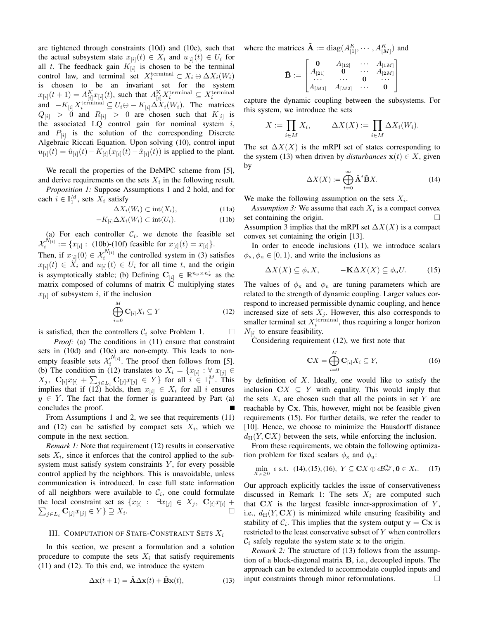are tightened through constraints (10d) and (10e), such that the actual subsystem state  $x_{[i]}(t) \in X_i$  and  $u_{[i]}(t) \in U_i$  for all t. The feedback gain  $K_{[i]}$  is chosen to be the terminal control law, and terminal set  $X_i^{\text{terminal}} \subset X_i \ominus \Delta X_i(W_i)$ is chosen to be an invariant set for the system  $x_{[i]}(t+1) = A_{[i]}^K x_{[i]}(t)$ , such that  $A_{[i]}^K X_i^{\text{terminal}} \subseteq X_i^{\text{terminal}}$ and  $-K_{[i]}X_i^{\text{terminal}} \subseteq U_i \ominus -K_{[i]}\Delta X_i(W_i)$ . The matrices  $Q_{[i]} > 0$  and  $R_{[i]} > 0$  are chosen such that  $K_{[i]}$  is the associated  $LQ$  control gain for nominal system  $i$ , and  $P_{[i]}$  is the solution of the corresponding Discrete Algebraic Riccati Equation. Upon solving (10), control input  $u_{[i]}(t) = \hat{u}_{[i]}(t) - K_{[i]}(x_{[i]}(t) - \hat{x}_{[i]}(t))$  is applied to the plant.

We recall the properties of the DeMPC scheme from [5], and derive requirements on the sets  $X_i$  in the following result.

*Proposition 1:* Suppose Assumptions 1 and 2 hold, and for each  $i \in \mathbb{I}_1^M$ , sets  $X_i$  satisfy

$$
\Delta X_i(W_i) \subset \text{int}(X_i),\tag{11a}
$$

$$
-K_{[i]}\Delta X_i(W_i) \subset \text{int}(U_i). \tag{11b}
$$

(a) For each controller  $\mathcal{C}_i$ , we denote the feasible set  $\mathcal{X}_i^{N_{[i]}} := \{x_{[i]} : (10b) \text{-} (10f) \text{ feasible for } x_{[i]}(t) = x_{[i]}\}.$ 

Then, if  $x_{[i]}(0) \in \mathcal{X}_i^{N_{[i]}}$  the controlled system in (3) satisfies  $x_{[i]}(t) \in \overline{X}_i$  and  $u_{[i]}(t) \in U_i$  for all time t, and the origin is asymptotically stable; (b) Defining  $\mathbf{C}_{[i]} \in \mathbb{R}^{n_y \times n_x^i}$  as the matrix composed of columns of matrix C multiplying states  $x_{[i]}$  of subsystem i, if the inclusion

$$
\bigoplus_{i=0}^{M} \mathbf{C}_{[i]} X_i \subseteq Y \tag{12}
$$

is satisfied, then the controllers  $C_i$  solve Problem 1.  $\Box$ 

*Proof:* (a) The conditions in (11) ensure that constraint sets in (10d) and (10e) are non-empty. This leads to nonempty feasible sets  $\mathcal{X}_i^{N_{[i]}}$ . The proof then follows from [5]. (b) The condition in (12) translates to  $X_i = \{x_{[i]} : \forall x_{[j]} \in$  $X_j$ ,  $\mathbf{C}_{[i]}x_{[i]} + \sum_{j\in L_i} \mathbf{C}_{[j]}x_{[j]} \in Y$  for all  $i \in \mathbb{I}_1^M$ . This implies that if (12) holds, then  $x_{[i]} \in X_i$  for all i ensures  $y \in Y$ . The fact that the former is guaranteed by Part (a) concludes the proof.

From Assumptions 1 and 2, we see that requirements (11) and (12) can be satisfied by compact sets  $X_i$ , which we compute in the next section.

*Remark 1:* Note that requirement (12) results in conservative sets  $X_i$ , since it enforces that the control applied to the subsystem must satisfy system constraints  $Y$ , for every possible control applied by the neighbors. This is unavoidable, unless communication is introduced. In case full state information of all neighbors were available to  $C_i$ , one could formulate the local constraint set as  $\{x_{[i]} : \exists x_{[j]} \in X_j, \mathbf{C}_{[i]}x_{[i]} + \sum_{i \in I_{i}} \mathbf{C}_{[i]}x_{[i]} \in Y\} \supseteq X_i.$  $\sum_{i\in L_i} \mathbf{C}_{[j]}x_{[j]}\in Y$  }  $\supseteq X_i$ .

# III. COMPUTATION OF STATE-CONSTRAINT SETS  $X_i$

In this section, we present a formulation and a solution procedure to compute the sets  $X_i$  that satisfy requirements (11) and (12). To this end, we introduce the system

$$
\Delta \mathbf{x}(t+1) = \tilde{\mathbf{A}} \Delta \mathbf{x}(t) + \tilde{\mathbf{B}} \mathbf{x}(t),
$$
 (13)

where the matrices  $\tilde{A} := \text{diag}(A_{[1]}^K, \cdots, A_{[M]}^K)$  and

$$
\tilde{\mathbf{B}} := \begin{bmatrix} \mathbf{0} & A_{[12]} & \cdots & A_{[1M]} \\ A_{[21]} & \mathbf{0} & \cdots & A_{[2M]} \\ \cdots & \cdots & \mathbf{0} & \cdots \\ A_{[M1]} & A_{[M2]} & \cdots & \mathbf{0} \end{bmatrix}
$$

capture the dynamic coupling between the subsystems. For this system, we introduce the sets

$$
X := \prod_{i \in M} X_i, \qquad \Delta X(X) := \prod_{i \in M} \Delta X_i(W_i).
$$

The set  $\Delta X(X)$  is the mRPI set of states corresponding to the system (13) when driven by *disturbances*  $x(t) \in X$ , given by

$$
\Delta X(X) := \bigoplus_{t=0}^{\infty} \tilde{\mathbf{A}}^t \tilde{\mathbf{B}} X. \tag{14}
$$

We make the following assumption on the sets  $X_i$ .

Assumption 3: We assume that each  $X_i$  is a compact convex set containing the origin. Assumption 3 implies that the mRPI set  $\Delta X(X)$  is a compact convex set containing the origin [13].

In order to encode inclusions (11), we introduce scalars  $\phi_x, \phi_u \in [0, 1)$ , and write the inclusions as

$$
\Delta X(X) \subseteq \phi_{\mathbf{x}} X, \qquad -\mathbf{K} \Delta X(X) \subseteq \phi_{\mathbf{u}} U. \tag{15}
$$

The values of  $\phi_x$  and  $\phi_u$  are tuning parameters which are related to the strength of dynamic coupling. Larger values correspond to increased permissible dynamic coupling, and hence increased size of sets  $X_j$ . However, this also corresponds to smaller terminal set  $X_i^{\text{terminal}}$ , thus requiring a longer horizon  $N_{[i]}$  to ensure feasibility.

Considering requirement (12), we first note that

$$
\mathbf{C}X = \bigoplus_{i=0}^{M} \mathbf{C}_{[i]} X_i \subseteq Y,
$$
 (16)

by definition of  $X$ . Ideally, one would like to satisfy the inclusion  $CX \subseteq Y$  with equality. This would imply that the sets  $X_i$  are chosen such that all the points in set Y are reachable by Cx. This, however, might not be feasible given requirements (15). For further details, we refer the reader to [10]. Hence, we choose to minimize the Hausdorff distance  $d_H(Y, \mathbf{C}X)$  between the sets, while enforcing the inclusion.

From these requirements, we obtain the following optimization problem for fixed scalars  $\phi_x$  and  $\phi_u$ :

$$
\min_{X,\epsilon \ge 0} \epsilon \text{ s.t. } (14), (15), (16), Y \subseteq \mathbf{C}X \oplus \epsilon \mathcal{B}_{\infty}^{n_y}, \mathbf{0} \in X_i. \tag{17}
$$

Our approach explicitly tackles the issue of conservativeness discussed in Remark 1: The sets  $X_i$  are computed such that  $\mathbf{C}X$  is the largest feasible inner-approximation of  $Y$ , i.e.,  $d_H(Y, \mathbf{C} X)$  is minimized while ensuring feasibility and stability of  $C_i$ . This implies that the system output  $y = Cx$  is restricted to the least conservative subset of Y when controllers  $C_i$  safely regulate the system state x to the origin.

*Remark 2:* The structure of (13) follows from the assumption of a block-diagonal matrix B, i.e., decoupled inputs. The approach can be extended to accommodate coupled inputs and input constraints through minor reformulations.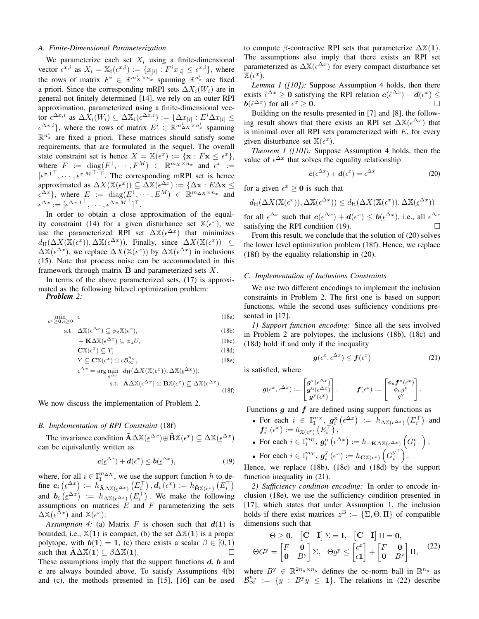# *A. Finite-Dimensional Parameterization*

We parameterize each set  $X_i$  using a finite-dimensional vector  $\epsilon^{x,i}$  as  $X_i = \mathbb{X}_i(\epsilon^{x,i}) := \{x_{[i]} : F^i x_{[i]} \leq \epsilon^{x,i}\},\$  where the rows of matrix  $F^i \in \mathbb{R}^{m_X^i \times n_x^{i^*}}$  spanning  $\mathbb{R}^{n_x^i}$  are fixed a priori. Since the corresponding mRPI sets  $\Delta X_i(W_i)$  are in general not finitely determined [14], we rely on an outer RPI approximation, parameterized using a finite-dimensional vector  $\epsilon^{\Delta x,i}$  as  $\Delta X_i(W_i)\subseteq \Delta \mathbb{X}_i(\epsilon^{\Delta x,i}):=\{\Delta x_{[i]} : E^i\Delta x_{[i]}\leq$  $\{\epsilon^{\Delta x,i}\},\,$  where the rows of matrix  $E^i \in \mathbb{R}^{m_{\Delta X}^i \times n_x^i}$  spanning  $\mathbb{R}^{n_x^i}$  are fixed a priori. These matrices should satisfy some requirements, that are formulated in the sequel. The overall state constraint set is hence  $X = \mathbb{X}(\epsilon^x) := \{ \mathbf{x} : F\mathbf{x} \leq \epsilon^x \},\$ where  $F := diag(F^1, \dots, F^M) \in \mathbb{R}^{m_X \times n_x}$  and  $\epsilon^x :=$  $[\epsilon^{x,1}^\top, \cdots, \epsilon^{x,M}^\top]^\top$ . The corresponding mRPI set is hence approximated as  $\Delta X(\mathbb{X}(\epsilon^x)) \subseteq \Delta \mathbb{X}(\epsilon^{\Delta x}) := \{ \Delta \mathbf{x} : E \Delta \mathbf{x} \leq$  $\epsilon^{\Delta x}$ , where  $E := \text{diag}(E^1, \dots, E^M) \in \mathbb{R}^{m_{\Delta X} \times n_x}$  and  $\epsilon^{\Delta x} := [\epsilon^{\Delta x, 1^{\top}}, \cdots, \epsilon^{\Delta x, M^{\top}}]^{\top}.$ 

In order to obtain a close approximation of the equality constraint (14) for a given disturbance set  $\mathbb{X}(\epsilon^x)$ , we use the parameterized RPI set  $\Delta X(\epsilon^{\Delta x})$  that minimizes  $d_H(\Delta X(\mathbb{X}(\epsilon^x)), \Delta \mathbb{X}(\epsilon^{\Delta x}))$ . Finally, since  $\Delta X(\mathbb{X}(\epsilon^x)) \subseteq$  $\Delta X(\epsilon^{\Delta x})$ , we replace  $\Delta X(\mathbb{X}(\epsilon^x))$  by  $\Delta X(\epsilon^{\Delta x})$  in inclusions (15). Note that process noise can be accommodated in this framework through matrix  $\bf{B}$  and parameterized sets  $X$ .

In terms of the above parameterized sets, (17) is approximated as the following bilevel optimization problem: *Problem 2:*

$$
\min_{\epsilon^x \ge 0, \epsilon \ge 0} \epsilon \tag{18a}
$$

$$
\text{s.t. } \Delta \mathbb{X}(\epsilon^{\Delta x}) \subseteq \phi_{\mathbf{x}} \mathbb{X}(\epsilon^x), \tag{18b}
$$

$$
-\mathbf{K}\Delta\mathbb{X}(\epsilon^{\Delta x}) \subseteq \phi_{\mathbf{u}}U,
$$
\n(18c)\n
$$
\mathbf{C}\mathbb{Y}(\epsilon^x) \subseteq \mathbf{V}
$$
\n(18d)

$$
\mathbf{C}\mathbb{X}(\epsilon^x) \subseteq Y,
$$
  
\n
$$
Y \subseteq \mathbf{C}\mathbb{X}(\epsilon^x) \oplus \epsilon \mathcal{B}_{\infty}^{n_y},
$$
\n(18d)

$$
\angle \subseteq \mathbf{C}\mathbb{X}(\epsilon^x) \oplus \epsilon \mathcal{B}_{\infty}^{n_{\infty}}, \tag{18e}
$$
\n
$$
\Delta x = \underset{\epsilon \Delta x}{\text{arg min }} d_{\mathrm{H}}(\Delta X(\mathbb{X}(\epsilon^x)), \Delta \mathbb{X}(\epsilon^{\Delta x})),
$$
\n
$$
\text{s.t. } \tilde{\mathbf{A}}\Delta \mathbb{X}(\epsilon^{\Delta x}) \oplus \tilde{\mathbf{B}}\mathbb{X}(\epsilon^x) \subseteq \Delta \mathbb{X}(\epsilon^{\Delta x}).
$$

$$
\text{R.A.}(\varepsilon^{--}) \oplus \mathbf{B} \mathbb{A}(\varepsilon^-) \subseteq \Delta \mathbb{A}(\varepsilon^{--}).
$$
\n
$$
(18f)
$$

We now discuss the implementation of Problem 2.

## *B. Implementation of RPI Constraint* (18f)

 $\epsilon$ 

The invariance condition  $\tilde{\mathbf{A}} \Delta \mathbb{X} (\epsilon^{\Delta x}) \oplus \tilde{\mathbf{B}} \mathbb{X} (\epsilon^x) \subseteq \Delta \mathbb{X} (\epsilon^{\Delta x})$ can be equivalently written as

$$
\mathbf{c}(\underline{\epsilon}^{\Delta x}) + \mathbf{d}(\epsilon^x) \le \mathbf{b}(\underline{\epsilon}^{\Delta x}), \tag{19}
$$

where, for all  $i \in \mathbb{I}_1^{m_{\Delta}x}$ , we use the support function h to define  $c_i \left( \underline{\epsilon}^{\Delta x} \right) := h_{\mathbf{A} \Delta \mathbb{X}(\underline{\epsilon}^{\Delta x})} \left( E_i^{\top} \right), \mathbf{d}_i \left( \epsilon^x \right) := h_{\mathbf{B} \mathbb{X}(\epsilon^x)} \left( E_i^{\top} \right)$ and  $\mathbf{b}_i\left(\underline{\epsilon}^{\Delta x}\right) := h_{\Delta x(\underline{\epsilon}^{\Delta x})}\left(E_i^{\top}\right)$ . We make the following  $\lim_{n \to \infty} \frac{C_1}{C_2}$  is  $\lim_{n \to \infty} \frac{C_2}{C_1}$  and F parameterizing the sets  $\Delta X(\underline{\epsilon}^{\Delta x})$  and  $X(\epsilon^x)$ :

Assumption 4: (a) Matrix F is chosen such that  $d(1)$  is bounded, i.e.,  $\mathbb{X}(1)$  is compact, (b) the set  $\Delta \mathbb{X}(1)$  is a proper polytope, with  $\mathbf{b}(1) = 1$ , (c) there exists a scalar  $\beta \in [0, 1)$ such that  $\mathbf{A}\Delta\mathbb{X}(1) \subseteq \beta\Delta\mathbb{X}(1)$ .

These assumptions imply that the support functions  $d$ ,  $b$  and  $c$  are always bounded above. To satisfy Assumptions  $4(b)$ and (c), the methods presented in [15], [16] can be used

to compute  $\beta$ -contractive RPI sets that parameterize  $\Delta \mathbb{X}(1)$ . The assumptions also imply that there exists an RPI set parameterized as  $\Delta X(\epsilon^{\Delta x})$  for every compact disturbance set  $\mathbb{\tilde{X}}(\epsilon^x).$ 

*Lemma 1 ([10]):* Suppose Assumption 4 holds, then there exists  $\hat{\epsilon}^{\Delta x} \ge 0$  satisfying the RPI relation  $c(\hat{\epsilon}^{\Delta x}) + d(\epsilon^x) \le$  $\mathbf{b}(\hat{\epsilon}^{\Delta x})$  for all  $\epsilon^x \geq 0$ .

Building on the results presented in [7] and [8], the following result shows that there exists an RPI set  $\Delta X(\epsilon^{\Delta x})$  that is minimal over all RPI sets parameterized with  $E$ , for every given disturbance set  $\mathbb{X}(\epsilon^x)$ .

*Theorem 1 ([10]):* Suppose Assumption 4 holds, then the value of  $\epsilon^{\Delta x}$  that solves the equality relationship

$$
\mathbf{c}(\epsilon^{\Delta x}) + \mathbf{d}(\epsilon^x) = \epsilon^{\Delta x} \tag{20}
$$

for a given  $\epsilon^x \ge 0$  is such that

$$
d_{\mathrm{H}}(\Delta X(\mathbb{X}(\epsilon^x)), \Delta \mathbb{X}(\epsilon^{\Delta x})) \leq d_{\mathrm{H}}(\Delta X(\mathbb{X}(\epsilon^x)), \Delta \mathbb{X}(\epsilon^{\Delta x}))
$$

for all  $\underline{\epsilon}^{\Delta x}$  such that  $c(\underline{\epsilon}^{\Delta x}) + d(\epsilon^x) \leq b(\underline{\epsilon}^{\Delta x})$ , i.e., all  $\epsilon^{\Delta x}$ <br>satisfying the PPI condition (10)  $\lim_{\epsilon \to 0} \frac{\epsilon}{\epsilon}$  satisfying the RPI condition (19).

From this result, we conclude that the solution of (20) solves the lower level optimization problem (18f). Hence, we replace (18f) by the equality relationship in (20).

### *C. Implementation of Inclusions Constraints*

We use two different encodings to implement the inclusion constraints in Problem 2. The first one is based on support functions, while the second uses sufficiency conditions presented in [17].

*1) Support function encoding:* Since all the sets involved in Problem 2 are polytopes, the inclusions (18b), (18c) and (18d) hold if and only if the inequality

$$
\boldsymbol{g}(\epsilon^x, \epsilon^{\Delta x}) \le \boldsymbol{f}(\epsilon^x) \tag{21}
$$

.

is satisfied, where

g(

$$
(\epsilon^x, \epsilon^{\Delta x}) := \begin{bmatrix} g^{\mathbf{x}}(\epsilon^{\Delta x}) \\ g^{\mathbf{u}}(\epsilon^{\Delta x}) \\ g^{\mathbf{y}}(\epsilon^x) \end{bmatrix}, \qquad \bm{f}(\epsilon^x) := \begin{bmatrix} \phi_{\mathbf{x}} \bm{f}^{\mathbf{x}}(\epsilon^x) \\ \phi_{\mathbf{u}} g^{\mathbf{u}} \\ g^{\mathbf{y}} \end{bmatrix}.
$$

Functions  $g$  and  $f$  are defined using support functions as

• For each  $i \in \mathbb{I}_1^{m_X}$ ,  $g_i^{\mathrm{x}}\left(\epsilon^{\Delta x}\right) := h_{\Delta \mathbb{X}(\epsilon^{\Delta x})}\left(E_i^{\top}\right)$  and  $\pmb{f}_{i}^{\textrm{x}}\left(\epsilon^{x}\right):=h_{\mathbb{X}\left(\epsilon^{x}\right)}\left(E_{i}^{\top}\right),$ 

• For each 
$$
i \in \mathbb{I}_1^{m_U}
$$
,  $g_i^{\mathrm{u}}(\epsilon^{\Delta x}) := h_{-\mathbf{K}\Delta \mathbb{X}(\epsilon^{\Delta x})}\left(G_i^{\mathrm{u}^\top}\right)$ ,  
\n• For each  $i \in \mathbb{I}^{m_V}$ ,  $g_y^{\mathrm{v}}(\epsilon^x) := h_{\mathbf{C}\mathbb{X}(\epsilon^{\mathbb{X}})}\left(G_y^{\mathrm{v}^\top}\right)$ .

• For each 
$$
i \in \mathbb{I}_1^{m_Y}
$$
,  $\mathbf{g}_i^{\mathrm{y}}(\epsilon^x) := h_{\mathbf{C}\mathbb{X}(\epsilon^x)}\left(G_i^{\mathrm{y}}\right)$ 

Hence, we replace (18b), (18c) and (18d) by the support function inequality in (21).

*2) Sufficiency condition encoding:* In order to encode inclusion (18e), we use the sufficiency condition presented in [17], which states that under Assumption 1, the inclusion holds if there exist matrices  $z^{\text{B}} := \{\Sigma, \Theta, \Pi\}$  of compatible dimensions such that

$$
\Theta \ge 0, \quad \begin{bmatrix} \mathbf{C} & \mathbf{I} \end{bmatrix} \Sigma = \mathbf{I}, \quad \begin{bmatrix} \mathbf{C} & \mathbf{I} \end{bmatrix} \Pi = \mathbf{0},
$$

$$
\Theta G^{\mathrm{y}} = \begin{bmatrix} F & \mathbf{0} \\ \mathbf{0} & B^{\mathrm{y}} \end{bmatrix} \Sigma, \quad \Theta g^{\mathrm{y}} \le \begin{bmatrix} \epsilon^x \\ \epsilon \mathbf{1} \end{bmatrix} + \begin{bmatrix} F & \mathbf{0} \\ \mathbf{0} & B^{\mathrm{y}} \end{bmatrix} \Pi, \quad (22)
$$

where  $B^{y} \in \mathbb{R}^{2n_y \times n_y}$  defines the  $\infty$ -norm ball in  $\mathbb{R}^{n_y}$  as  $\mathcal{B}_{\infty}^{n_y} := \{y : B^y y \leq 1\}.$  The relations in (22) describe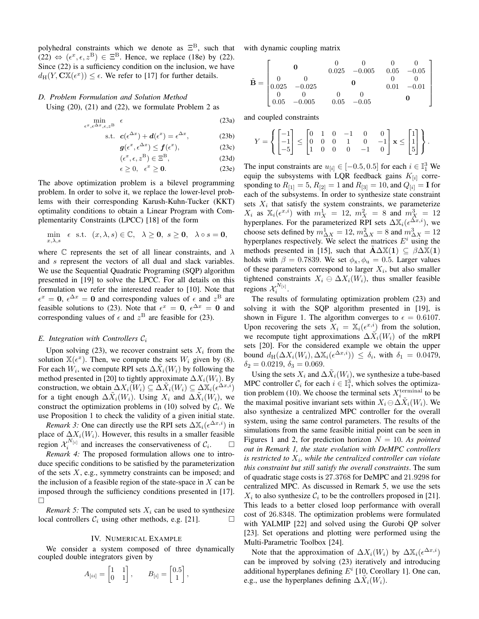polyhedral constraints which we denote as  $\Xi^{\text{B}}$ , such that  $(22) \Leftrightarrow (\epsilon^x, \epsilon, z^{\text{B}}) \in \Xi^{\text{B}}$ . Hence, we replace (18e) by (22). Since (22) is a sufficiency condition on the inclusion, we have  $d_H(Y, \mathbf{C} \mathbb{X}(\epsilon^x)) \leq \epsilon$ . We refer to [17] for further details.

### *D. Problem Formulation and Solution Method*

Using (20), (21) and (22), we formulate Problem 2 as

$$
\min_{\epsilon^x, \epsilon^{\Delta x}, \epsilon, z^{\text{B}}} \epsilon \tag{23a}
$$

$$
\text{s.t. } \mathbf{c}(\epsilon^{\Delta x}) + \mathbf{d}(\epsilon^x) = \epsilon^{\Delta x}, \tag{23b}
$$

$$
\mathbf{g}(\epsilon^x, \epsilon^{\Delta x}) \le \mathbf{f}(\epsilon^x),\tag{23c}
$$

$$
(\epsilon^x, \epsilon, z^{\mathcal{B}}) \in \Xi^{\mathcal{B}},\tag{23d}
$$

$$
\epsilon \geq 0, \quad \epsilon^x \geq \mathbf{0}.\tag{23e}
$$

The above optimization problem is a bilevel programming problem. In order to solve it, we replace the lower-level problems with their corresponding Karush-Kuhn-Tucker (KKT) optimality conditions to obtain a Linear Program with Complementarity Constraints (LPCC) [18] of the form

$$
\min_{x,\lambda,s} \epsilon \text{ s.t. } (x,\lambda,s) \in \mathbb{C}, \quad \lambda \ge 0, \ s \ge 0, \ \lambda \circ s = 0,
$$

where C represents the set of all linear constraints, and  $\lambda$ and s represent the vectors of all dual and slack variables. We use the Sequential Quadratic Programing (SQP) algorithm presented in [19] to solve the LPCC. For all details on this formulation we refer the interested reader to [10]. Note that  $\epsilon^x = 0$ ,  $\epsilon^{\Delta x} = 0$  and corresponding values of  $\epsilon$  and  $z^{\text{B}}$  are feasible solutions to (23). Note that  $\epsilon^x = 0$ ,  $\epsilon^{\Delta x} = 0$  and corresponding values of  $\epsilon$  and  $z^{\text{B}}$  are feasible for (23).

## *E. Integration with Controllers*  $C_i$

Upon solving (23), we recover constraint sets  $X_i$  from the solution  $\mathbb{X}(\epsilon^x)$ . Then, we compute the sets  $W_i$  given by (8). For each  $\hat{W_i}$ , we compute RPI sets  $\Delta \tilde{X}_i(W_i)$  by following the method presented in [20] to tightly approximate  $\Delta X_i(W_i)$ . By construction, we obtain  $\Delta X_i(W_i) \subseteq \Delta \tilde{X}_i(W_i) \subseteq \Delta \tilde{X}_i(\epsilon^{\Delta x,i})$ for a tight enough  $\Delta \tilde{X}_i(W_i)$ . Using  $X_i$  and  $\Delta \tilde{X}_i(W_i)$ , we construct the optimization problems in (10) solved by  $C_i$ . We use Proposition 1 to check the validity of a given initial state.

*Remark 3:* One can directly use the RPI sets  $\Delta X_i(e^{\Delta x,i})$  in place of  $\Delta X_i(W_i)$ . However, this results in a smaller feasible region  $\mathcal{X}_i^{N[i]}$  and increases the conservativeness of  $\mathcal{C}_i$  $\Box$ 

*Remark 4:* The proposed formulation allows one to introduce specific conditions to be satisfied by the parameterization of the sets  $X$ , e.g., symmetry constraints can be imposed; and the inclusion of a feasible region of the state-space in  $X$  can be imposed through the sufficiency conditions presented in [17].  $\Box$ 

*Remark 5:* The computed sets  $X_i$  can be used to synthesize local controllers  $C_i$  using other methods, e.g. [21].

## IV. NUMERICAL EXAMPLE

We consider a system composed of three dynamically coupled double integrators given by

$$
A_{[ii]} = \begin{bmatrix} 1 & 1 \\ 0 & 1 \end{bmatrix}, \qquad B_{[i]} = \begin{bmatrix} 0.5 \\ 1 \end{bmatrix},
$$

with dynamic coupling matrix

$$
\tilde{\mathbf{B}} = \begin{bmatrix}\n\mathbf{0} & \mathbf{0} & \mathbf{0} & \mathbf{0} & \mathbf{0} \\
\mathbf{0} & \mathbf{0} & \mathbf{0.025} & -0.005 & \mathbf{0.05} & -0.05 \\
\mathbf{0} & \mathbf{0} & \mathbf{0} & \mathbf{0} & \mathbf{0} & \mathbf{0} \\
\mathbf{0} & \mathbf{0} & \mathbf{0} & \mathbf{0} & \mathbf{0.01} & -0.01 \\
\mathbf{0} & \mathbf{0} & \mathbf{0} & \mathbf{0} & \mathbf{0} & \mathbf{0} \\
\mathbf{0.05} & -0.005 & \mathbf{0.05} & -0.05 & \mathbf{0}\n\end{bmatrix}
$$

and coupled constraints

$$
Y = \left\{ \begin{bmatrix} -1 \\ -1 \\ -5 \end{bmatrix} \le \begin{bmatrix} 0 & 1 & 0 & -1 & 0 & 0 \\ 0 & 0 & 0 & 1 & 0 & -1 \\ 1 & 0 & 0 & 0 & -1 & 0 \end{bmatrix} \mathbf{x} \le \begin{bmatrix} 1 \\ 1 \\ 5 \end{bmatrix} \right\}.
$$

The input constraints are  $u_{[i]} \in [-0.5, 0.5]$  for each  $i \in \mathbb{I}_1^3$  We equip the subsystems with LQR feedback gains  $K_{[i]}$  corresponding to  $R_{[1]} = 5$ ,  $R_{[2]} = 1$  and  $R_{[3]} = 10$ , and  $Q_{[i]} = I$  for each of the subsystems. In order to synthesize state constraint sets  $X_i$  that satisfy the system constraints, we parameterize  $X_i$  as  $\mathbb{X}_i(e^{x,i})$  with  $m_X^1 = 12$ ,  $m_X^2 = 8$  and  $m_X^3 = 12$ hyperplanes. For the parameterized RPI sets  $\Delta \mathbb{X}_i(\epsilon^{\hat{\Delta x},i})$ , we choose sets defined by  $m_{\Delta X}^1 = 12$ ,  $m_{\Delta X}^2 = 8$  and  $m_{\Delta X}^3 = 12$ hyperplanes respectively. We select the matrices  $E^i$  using the methods presented in [15], such that  $A\Delta X(1) \subseteq \beta \Delta X(1)$ holds with  $\beta = 0.7839$ . We set  $\phi_x, \phi_u = 0.5$ . Larger values of these parameters correspond to larger  $X_i$ , but also smaller tightened constraints  $X_i \oplus \Delta X_i(W_i)$ , thus smaller feasible regions  $\mathcal{X}_i^{N_{[i]}}$ .

The results of formulating optimization problem (23) and solving it with the SQP algorithm presented in [19], is shown in Figure 1. The algorithm converges to  $\epsilon = 0.6107$ . Upon recovering the sets  $X_i = \mathbb{X}_i(\epsilon^{x,i})$  from the solution, we recompute tight approximations  $\Delta \tilde{X}_i(W_i)$  of the mRPI sets [20]. For the considered example we obtain the upper bound  $d_H(\Delta X_i(W_i), \Delta \mathbb{X}_i(\epsilon^{\Delta x,i})) \leq \delta_i$ , with  $\delta_1 = 0.0479$ ,  $\delta_2 = 0.0219, \delta_3 = 0.069.$ 

Using the sets  $X_i$  and  $\Delta \tilde{X}_i(W_i)$ , we synthesize a tube-based MPC controller  $C_i$  for each  $i \in \mathbb{I}_1^3$ , which solves the optimization problem (10). We choose the terminal sets  $X_i^{\text{terminal}}$  to be the maximal positive invariant sets within  $X_i \ominus \Delta \tilde{X}_i(W_i)$ . We also synthesize a centralized MPC controller for the overall system, using the same control parameters. The results of the simulations from the same feasible initial point can be seen in Figures 1 and 2, for prediction horizon  $N = 10$ . As *pointed out in Remark 1, the state evolution with DeMPC controllers* is restricted to  $X_i$ , while the centralized controller can violate *this constraint but still satisfy the overall constraints*. The sum of quadratic stage costs is 27.3768 for DeMPC and 21.9298 for centralized MPC. As discussed in Remark 5, we use the sets  $X_i$  to also synthesize  $\mathcal{C}_i$  to be the controllers proposed in [21]. This leads to a better closed loop performance with overall cost of 26.8348. The optimization problems were formulated with YALMIP [22] and solved using the Gurobi QP solver [23]. Set operations and plotting were performed using the Multi-Parametric Toolbox [24].

Note that the approximation of  $\Delta X_i(W_i)$  by  $\Delta \mathbb{X}_i(\epsilon^{\Delta x,i})$ can be improved by solving (23) iteratively and introducing additional hyperplanes defining  $E^i$  [10, Corollary 1]. One can, e.g., use the hyperplanes defining  $\Delta \tilde{X}_i(W_i)$ .